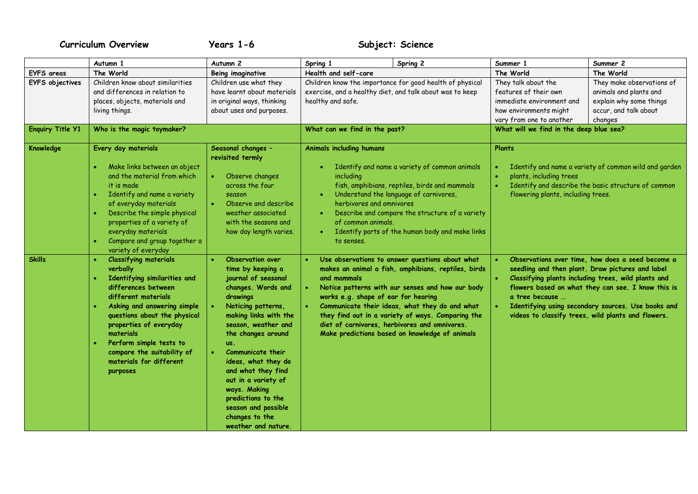## **Curriculum Overview Years 1-6 Subject: Science**

|                                                   | Autumn 1                                                                                                                                                                                                                                                                                                                                               | Autumn <sub>2</sub>                                                                                                                                                                                                                                                                                                                                                                                                  | Spring 1                                                                                                       | Spring 2                                                                                                                                                                                                                                                                                                            | Summer 1                                                                                                                                                                   | Summer 2                                                                                                                                                                                                                                                                                                                      |
|---------------------------------------------------|--------------------------------------------------------------------------------------------------------------------------------------------------------------------------------------------------------------------------------------------------------------------------------------------------------------------------------------------------------|----------------------------------------------------------------------------------------------------------------------------------------------------------------------------------------------------------------------------------------------------------------------------------------------------------------------------------------------------------------------------------------------------------------------|----------------------------------------------------------------------------------------------------------------|---------------------------------------------------------------------------------------------------------------------------------------------------------------------------------------------------------------------------------------------------------------------------------------------------------------------|----------------------------------------------------------------------------------------------------------------------------------------------------------------------------|-------------------------------------------------------------------------------------------------------------------------------------------------------------------------------------------------------------------------------------------------------------------------------------------------------------------------------|
| <b>EYFS</b> areas                                 | The World                                                                                                                                                                                                                                                                                                                                              | Being imaginative                                                                                                                                                                                                                                                                                                                                                                                                    | Health and self-care                                                                                           |                                                                                                                                                                                                                                                                                                                     | The World                                                                                                                                                                  | The World                                                                                                                                                                                                                                                                                                                     |
| <b>EYFS</b> objectives<br><b>Enquiry Title Y1</b> | Children know about similarities<br>and differences in relation to<br>places, objects, materials and<br>living things.<br>Who is the magic toymaker?                                                                                                                                                                                                   | Children use what they<br>have learnt about materials<br>in original ways, thinking<br>about uses and purposes.                                                                                                                                                                                                                                                                                                      | exercise, and a healthy diet, and talk about was to keep<br>healthy and safe.<br>What can we find in the past? | Children know the importance for good health of physical                                                                                                                                                                                                                                                            | They talk about the<br>features of their own<br>immediate environment and<br>how environments might<br>vary from one to another<br>What will we find in the deep blue sea? | They make observations of<br>animals and plants and<br>explain why some things<br>occur, and talk about<br>changes                                                                                                                                                                                                            |
|                                                   |                                                                                                                                                                                                                                                                                                                                                        |                                                                                                                                                                                                                                                                                                                                                                                                                      |                                                                                                                |                                                                                                                                                                                                                                                                                                                     |                                                                                                                                                                            |                                                                                                                                                                                                                                                                                                                               |
| Knowledge                                         | Every day materials<br>Make links between an object<br>and the material from which<br>it is made<br>Identify and name a variety<br>$\bullet$<br>of everyday materials<br>Describe the simple physical<br>properties of a variety of<br>everyday materials<br>Compare and group together a<br>$\bullet$<br>variety of everyday                          | Seasonal changes -<br>revisited termly<br>Observe changes<br>across the four<br>season<br>Observe and describe<br>weather associated<br>with the seasons and<br>how day length varies.                                                                                                                                                                                                                               | <b>Animals including humans</b><br>including<br>herbivores and omnivores<br>of common animals.<br>to senses.   | Identify and name a variety of common animals<br>fish, amphibians, reptiles, birds and mammals<br>Understand the language of carnivores,<br>Describe and compare the structure of a variety<br>Identify parts of the human body and make links                                                                      | Plants<br>plants, including trees<br>flowering plants, including trees.                                                                                                    | Identify and name a variety of common wild and garden<br>Identify and describe the basic structure of common                                                                                                                                                                                                                  |
| <b>Skills</b>                                     | <b>Classifying materials</b><br>$\bullet$<br>verbally<br>Identifying similarities and<br>differences between<br>different materials<br>Asking and answering simple<br>$\bullet$<br>questions about the physical<br>properties of everyday<br>materials<br>Perform simple tests to<br>compare the suitability of<br>materials for different<br>purposes | Observation over<br>time by keeping a<br>journal of seasonal<br>changes. Words and<br>drawings<br>Noticing patterns,<br>making links with the<br>season, weather and<br>the changes around<br>us.<br><b>Communicate their</b><br>$\bullet$<br>ideas, what they do<br>and what they find<br>out in a variety of<br>ways. Making<br>predictions to the<br>season and possible<br>changes to the<br>weather and nature. | and mammals<br>works e.g. shape of ear for hearing<br>diet of carnivores, herbivores and omnivores.            | Use observations to answer questions about what<br>makes an animal a fish, amphibians, reptiles, birds<br>Notice patterns with our senses and how our body<br>Communicate their ideas, what they do and what<br>they find out in a variety of ways. Comparing the<br>Make predictions based on knowledge of animals | a tree because                                                                                                                                                             | Observations over time, how does a seed become a<br>seedling and then plant. Draw pictures and label<br>Classifying plants including trees, wild plants and<br>flowers based on what they can see. I know this is<br>Identifying using secondary sources. Use books and<br>videos to classify trees, wild plants and flowers. |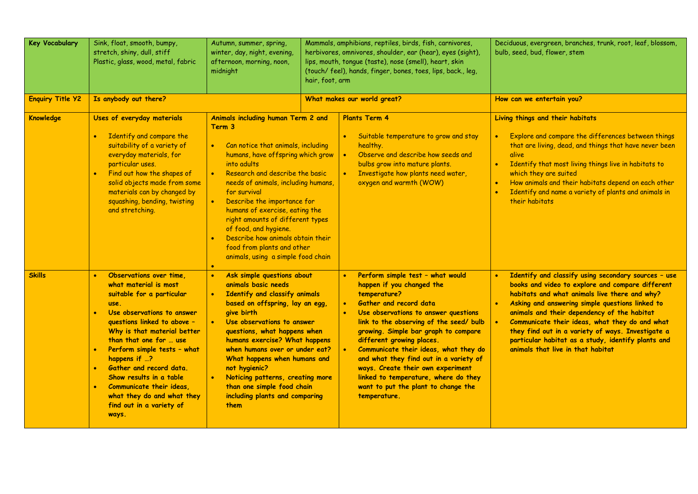| <b>Key Vocabulary</b>   | Sink, float, smooth, bumpy,<br>stretch, shiny, dull, stiff<br>Plastic, glass, wood, metal, fabric                                                                                                                                                                                                                                                                                                                           | Autumn, summer, spring,<br>winter, day, night, evening,<br>afternoon, morning, noon,<br>midnight                                                                                                                                                                                                                                                                                                                                                                                                                 | Mammals, amphibians, reptiles, birds, fish, carnivores,<br>herbivores, omnivores, shoulder, ear (hear), eyes (sight),<br>lips, mouth, tongue (taste), nose (smell), heart, skin<br>(touch/feel), hands, finger, bones, toes, lips, back., leg,<br>hair, foot, arm |                                                                                                                                                                                                                                                                                                                                                                                                                                                                                                                                            | Deciduous, evergreen, branches, trunk, root, leaf, blossom,<br>bulb, seed, bud, flower, stem                                                                                                                                                                                                                                                                                                                                                                 |  |
|-------------------------|-----------------------------------------------------------------------------------------------------------------------------------------------------------------------------------------------------------------------------------------------------------------------------------------------------------------------------------------------------------------------------------------------------------------------------|------------------------------------------------------------------------------------------------------------------------------------------------------------------------------------------------------------------------------------------------------------------------------------------------------------------------------------------------------------------------------------------------------------------------------------------------------------------------------------------------------------------|-------------------------------------------------------------------------------------------------------------------------------------------------------------------------------------------------------------------------------------------------------------------|--------------------------------------------------------------------------------------------------------------------------------------------------------------------------------------------------------------------------------------------------------------------------------------------------------------------------------------------------------------------------------------------------------------------------------------------------------------------------------------------------------------------------------------------|--------------------------------------------------------------------------------------------------------------------------------------------------------------------------------------------------------------------------------------------------------------------------------------------------------------------------------------------------------------------------------------------------------------------------------------------------------------|--|
| <b>Enquiry Title Y2</b> | Is anybody out there?                                                                                                                                                                                                                                                                                                                                                                                                       |                                                                                                                                                                                                                                                                                                                                                                                                                                                                                                                  |                                                                                                                                                                                                                                                                   | What makes our world great?                                                                                                                                                                                                                                                                                                                                                                                                                                                                                                                | How can we entertain you?                                                                                                                                                                                                                                                                                                                                                                                                                                    |  |
| <b>Knowledge</b>        | Uses of everyday materials<br>Identify and compare the<br>$\bullet$<br>suitability of a variety of<br>everyday materials, for<br>particular uses.<br>Find out how the shapes of<br>solid objects made from some<br>materials can by changed by<br>squashing, bending, twisting<br>and stretching.                                                                                                                           | Animals including human Term 2 and<br>Term 3<br>Can notice that animals, including<br>$\bullet$ .<br>humans, have offspring which grow<br>into adults<br>Research and describe the basic<br>$\bullet$<br>needs of animals, including humans,<br>for survival<br>Describe the importance for<br>$\bullet$<br>humans of exercise, eating the<br>right amounts of different types<br>of food, and hygiene.<br>Describe how animals obtain their<br>food from plants and other<br>animals, using a simple food chain |                                                                                                                                                                                                                                                                   | <b>Plants Term 4</b><br>Suitable temperature to grow and stay<br>healthy.<br>Observe and describe how seeds and<br>$\bullet$<br>bulbs grow into mature plants.<br>Investigate how plants need water,<br>$\bullet$<br>oxygen and warmth (WOW)                                                                                                                                                                                                                                                                                               | Living things and their habitats<br>Explore and compare the differences between things<br>that are living, dead, and things that have never been<br>alive<br>Identify that most living things live in habitats to<br>$\bullet$<br>which they are suited<br>How animals and their habitats depend on each other<br>Identify and name a variety of plants and animals in<br>their habitats                                                                     |  |
| <b>Skills</b>           | Observations over time,<br>$\bullet$<br>what material is most<br>suitable for a particular<br>use.<br>Use observations to answer<br>questions linked to above -<br>Why is that material better<br>than that one for  use<br>Perform simple tests - what<br>happens if ?<br>Gather and record data.<br>Show results in a table<br>Communicate their ideas<br>what they do and what they<br>find out in a variety of<br>ways. | Ask simple questions about<br>$\bullet$<br>animals basic needs<br>Identify and classify animals<br>$\bullet$<br>based on offspring, lay an egg,<br>give birth<br>Use observations to answer<br>$\bullet$<br>questions, what happens when<br>humans exercise? What happens<br>when humans over or under eat?<br>What happens when humans and<br>not hygienic?<br>Noticing patterns, creating more<br>$\bullet$ .<br>than one simple food chain<br>including plants and comparing<br>them                          |                                                                                                                                                                                                                                                                   | Perform simple test - what would<br>$\bullet$<br>happen if you changed the<br>temperature?<br>Gather and record data<br>$\bullet$<br>Use observations to answer questions<br>$\bullet$<br>link to the observing of the seed/ bulb<br>growing. Simple bar graph to compare<br>different growing places.<br>$\bullet$<br>Communicate their ideas, what they do<br>and what they find out in a variety of<br>ways. Create their own experiment<br>linked to temperature, where do they<br>want to put the plant to change the<br>temperature. | Identify and classify using secondary sources - use<br>books and video to explore and compare different<br>habitats and what animals live there and why?<br>Asking and answering simple questions linked to<br>animals and their dependency of the habitat<br>Communicate their ideas, what they do and what<br>they find out in a variety of ways. Investigate a<br>particular habitat as a study, identify plants and<br>animals that live in that habitat |  |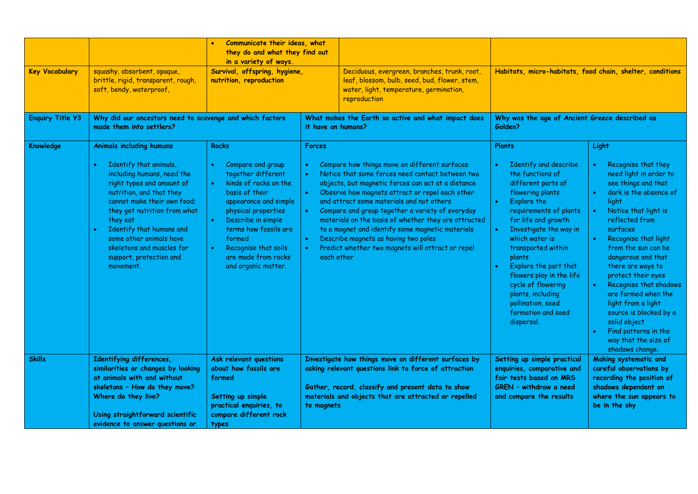| <b>Key Vocabulary</b><br><b>Enquiry Title Y3</b> | squashy, absorbent, opaque,<br>brittle, rigid, transparent, rough,<br>soft, bendy, waterproof,<br>Why did our ancestors need to scavenge and which factors                                                                                                                                                                                              | Communicate their ideas, what<br>they do and what they find out<br>in a variety of ways.<br>Survival, offspring, hygiene,<br>nutrition, reproduction                                                                                                                                           |                                                                                                                                                                                                                                                                                                                                                                                                                                                                                                                                                     | Deciduous, evergreen, branches, trunk, root,<br>leaf, blossom, bulb, seed, bud, flower, stem,<br>water, light, temperature, germination,<br>reproduction<br>What makes the Earth so active and what impact does | Habitats, micro-habitats, food chain, shelter, conditions<br>Why was the age of Ancient Greece described as                                                                                                                                                                                                                                                                                        |                                                                                                                                                                                                                                                                                                                                                                                                                                                                                                      |
|--------------------------------------------------|---------------------------------------------------------------------------------------------------------------------------------------------------------------------------------------------------------------------------------------------------------------------------------------------------------------------------------------------------------|------------------------------------------------------------------------------------------------------------------------------------------------------------------------------------------------------------------------------------------------------------------------------------------------|-----------------------------------------------------------------------------------------------------------------------------------------------------------------------------------------------------------------------------------------------------------------------------------------------------------------------------------------------------------------------------------------------------------------------------------------------------------------------------------------------------------------------------------------------------|-----------------------------------------------------------------------------------------------------------------------------------------------------------------------------------------------------------------|----------------------------------------------------------------------------------------------------------------------------------------------------------------------------------------------------------------------------------------------------------------------------------------------------------------------------------------------------------------------------------------------------|------------------------------------------------------------------------------------------------------------------------------------------------------------------------------------------------------------------------------------------------------------------------------------------------------------------------------------------------------------------------------------------------------------------------------------------------------------------------------------------------------|
|                                                  | made them into settlers?                                                                                                                                                                                                                                                                                                                                |                                                                                                                                                                                                                                                                                                | it have on humans?                                                                                                                                                                                                                                                                                                                                                                                                                                                                                                                                  |                                                                                                                                                                                                                 | Golden?                                                                                                                                                                                                                                                                                                                                                                                            |                                                                                                                                                                                                                                                                                                                                                                                                                                                                                                      |
| <b>Knowledge</b>                                 | <b>Animals including humans</b><br>Identify that animals,<br>including humans, need the<br>right types and amount of<br>nutrition, and that they<br>cannot make their own food:<br>they get nutrition from what<br>they eat<br>Identify that humans and<br>some other animals have<br>skeletons and muscles for<br>support, protection and<br>movement. | <b>Rocks</b><br>Compare and group<br>together different<br>kinds of rocks on the<br>basis of their<br>appearance and simple<br>physical properties<br>Describe in simple<br>terms how fossils are<br>formed<br>Recognise that soils<br>$\bullet$<br>are made from rocks<br>and organic matter. | <b>Forces</b><br>Compare how things move on different surfaces<br>Notice that some forces need contact between two<br>objects, but magnetic forces can act at a distance<br>Observe how magnets attract or repel each other<br>and attract some materials and not others<br>Compare and group together a variety of everyday<br>materials on the basis of whether they are attracted<br>to a magnet and identify some magnetic materials<br>Describe magnets as having two poles<br>Predict whether two magnets will attract or repel<br>each other |                                                                                                                                                                                                                 | Plants<br>Identify and describe<br>the functions of<br>different parts of<br>flowering plants<br>Explore the<br>requirements of plants<br>for life and growth<br>Investigate the way in<br>which water is<br>transported within<br>plants<br>Explore the part that<br>flowers play in the life<br>cycle of flowering<br>plants, including<br>pollination, seed<br>formation and seed<br>dispersal. | Light<br>Recognise that they<br>need light in order to<br>see things and that<br>dark is the absence of<br>light<br>Notice that light is<br>$\bullet$<br>reflected from<br>surfaces<br>Recognise that light<br>from the sun can be<br>dangerous and that<br>there are ways to<br>protect their eyes<br>Recognise that shadows<br>$\bullet$<br>are formed when the<br>light from a light<br>source is blocked by a<br>solid object<br>Find patterns in the<br>way that the size of<br>shadows change. |
| <b>Skills</b>                                    | Identifying differences,<br>similarities or changes by looking<br>at animals with and without<br>skeletons - How do they move?<br>Where do they live?<br>Using straightforward scientific<br>evidence to answer questions or                                                                                                                            | Ask relevant questions<br>about how fossils are<br>formed<br>Setting up simple<br>practical enquiries, to<br>compare different rock<br>types                                                                                                                                                   | Investigate how things move on different surfaces by<br>asking relevant questions link to force of attraction<br>Gather, record, classify and present data to show<br>materials and objects that are attracted or repelled<br>to magnets                                                                                                                                                                                                                                                                                                            |                                                                                                                                                                                                                 | Setting up simple practical<br>enquiries, comparative and<br>fair tests based on MRS<br>GREN - withdraw a need<br>and compare the results                                                                                                                                                                                                                                                          | Making systematic and<br>careful observations by<br>recording the position of<br>shadows dependent on<br>where the sun appears to<br>be in the sky                                                                                                                                                                                                                                                                                                                                                   |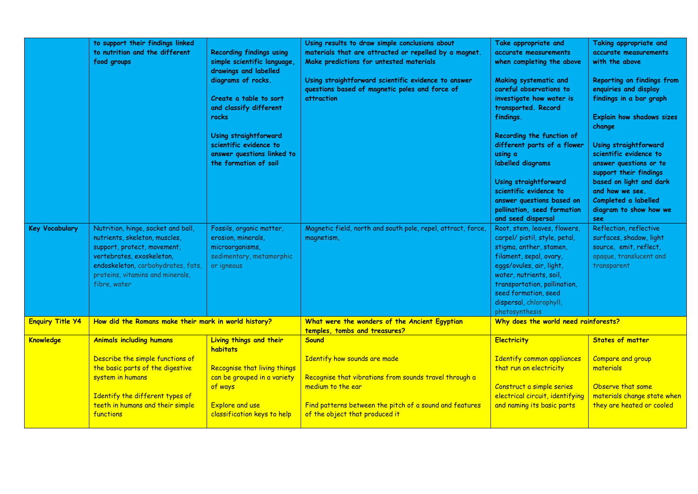| <b>Key Vocabulary</b>   | to support their findings linked<br>to nutrition and the different<br>food groups<br>Nutrition, hinge, socket and ball,                                                             | <b>Recording findings using</b><br>simple scientific language,<br>drawings and labelled<br>diagrams of rocks.<br>Create a table to sort<br>and classify different<br>rocks<br>Using straightforward<br>scientific evidence to<br>answer questions linked to<br>the formation of soil<br>Fossils, organic matter, | Using results to draw simple conclusions about<br>materials that are attracted or repelled by a magnet.<br>Make predictions for untested materials<br>Using straightforward scientific evidence to answer<br>questions based of magnetic poles and force of<br><b>attraction</b><br>Magnetic field, north and south pole, repel, attract, force, | Take appropriate and<br>accurate measurements<br>when completing the above<br>Making systematic and<br>careful observations to<br>investigate how water is<br>transported. Record<br>findings.<br>Recording the function of<br>different parts of a flower<br>using a<br>labelled diagrams<br>Using straightforward<br>scientific evidence to<br>answer questions based on<br>pollination, seed formation<br>and seed dispersal<br>Root, stem, leaves, flowers, | Taking appropriate and<br>accurate measurements<br>with the above<br>Reporting on findings from<br>enquiries and display<br>findings in a bar graph<br><b>Explain how shadows sizes</b><br>change<br>Using straightforward<br>scientific evidence to<br>answer questions or to<br>support their findings<br>based on light and dark<br>and how we see.<br>Completed a labelled<br>diagram to show how we<br>see<br>Reflection, reflective |
|-------------------------|-------------------------------------------------------------------------------------------------------------------------------------------------------------------------------------|------------------------------------------------------------------------------------------------------------------------------------------------------------------------------------------------------------------------------------------------------------------------------------------------------------------|--------------------------------------------------------------------------------------------------------------------------------------------------------------------------------------------------------------------------------------------------------------------------------------------------------------------------------------------------|-----------------------------------------------------------------------------------------------------------------------------------------------------------------------------------------------------------------------------------------------------------------------------------------------------------------------------------------------------------------------------------------------------------------------------------------------------------------|-------------------------------------------------------------------------------------------------------------------------------------------------------------------------------------------------------------------------------------------------------------------------------------------------------------------------------------------------------------------------------------------------------------------------------------------|
|                         | nutrients, skeleton, muscles,<br>support, protect, movement,<br>vertebrates, exoskeleton,<br>endoskeleton, carbohydrates, fats,<br>proteins, vitamins and minerals,<br>fibre, water | erosion, minerals,<br>microorganisms,<br>sedimentary, metamorphic<br>or igneous                                                                                                                                                                                                                                  | magnetism,                                                                                                                                                                                                                                                                                                                                       | carpel/ pistil, style, petal,<br>stigma, anther, stamen,<br>filament, sepal, ovary,<br>eggs/ovules, air, light,<br>water, nutrients, soil,<br>transportation, pollination,<br>seed formation, seed<br>dispersal, chlorophyll,<br>photosynthesis                                                                                                                                                                                                                 | surfaces, shadow, light<br>source, emit, reflect,<br>opaque, translucent and<br>transparent                                                                                                                                                                                                                                                                                                                                               |
| <b>Enquiry Title Y4</b> | How did the Romans make their mark in world history?                                                                                                                                |                                                                                                                                                                                                                                                                                                                  | What were the wonders of the Ancient Egyptian<br>temples, tombs and treasures?                                                                                                                                                                                                                                                                   | Why does the world need rainforests?                                                                                                                                                                                                                                                                                                                                                                                                                            |                                                                                                                                                                                                                                                                                                                                                                                                                                           |
| <b>Knowledge</b>        | <b>Animals including humans</b>                                                                                                                                                     | Living things and their<br>habitats                                                                                                                                                                                                                                                                              | <b>Sound</b>                                                                                                                                                                                                                                                                                                                                     | <b>Electricity</b>                                                                                                                                                                                                                                                                                                                                                                                                                                              | <b>States of matter</b>                                                                                                                                                                                                                                                                                                                                                                                                                   |
|                         | Describe the simple functions of<br>the basic parts of the digestive<br>system in humans<br>Identify the different types of<br>teeth in humans and their simple<br>functions        | Recognise that living things<br>can be grouped in a variety<br>of ways<br><b>Explore and use</b><br>classification keys to help                                                                                                                                                                                  | Identify how sounds are made<br>Recognise that vibrations from sounds travel through a<br>medium to the ear<br>Find patterns between the pitch of a sound and features<br>of the object that produced it                                                                                                                                         | Identify common appliances<br>that run on electricity<br>Construct a simple series<br>electrical circuit, identifying<br>and naming its basic parts                                                                                                                                                                                                                                                                                                             | Compare and group<br>materials<br>Observe that some<br>materials change state when<br>they are heated or cooled                                                                                                                                                                                                                                                                                                                           |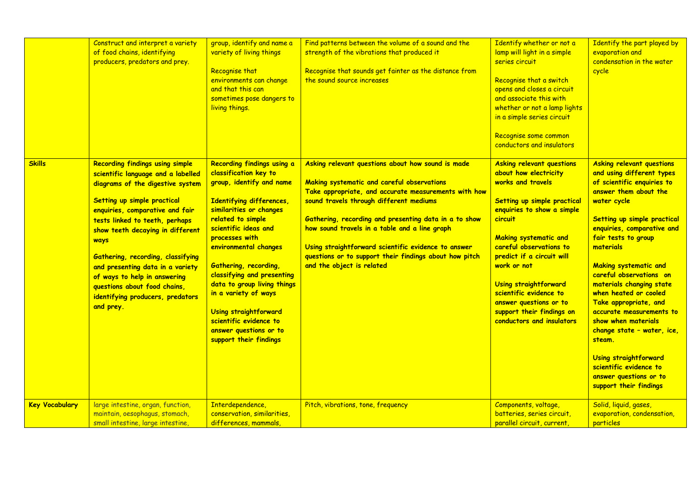|                       | Construct and interpret a variety<br>of food chains, identifying<br>producers, predators and prey.                                                                                                                                                                                                                                                                                                                                                         | group, identify and name a<br>variety of living things<br>Recognise that<br>environments can change<br>and that this can<br>sometimes pose dangers to<br>living things.                                                                                                                                                                                                                                                                             | Find patterns between the volume of a sound and the<br>strength of the vibrations that produced it<br>Recognise that sounds get fainter as the distance from<br>the sound source increases                                                                                                                                                                                                                                                                 | Identify whether or not a<br>lamp will light in a simple<br>series circuit<br>Recognise that a switch<br>opens and closes a circuit<br>and associate this with<br>whether or not a lamp lights<br>in a simple series circuit<br>Recognise some common<br>conductors and insulators                                                                                                                   | Identify the part played by<br>evaporation and<br>condensation in the water<br>cycle                                                                                                                                                                                                                                                                                                                                                                                                                                                                                            |
|-----------------------|------------------------------------------------------------------------------------------------------------------------------------------------------------------------------------------------------------------------------------------------------------------------------------------------------------------------------------------------------------------------------------------------------------------------------------------------------------|-----------------------------------------------------------------------------------------------------------------------------------------------------------------------------------------------------------------------------------------------------------------------------------------------------------------------------------------------------------------------------------------------------------------------------------------------------|------------------------------------------------------------------------------------------------------------------------------------------------------------------------------------------------------------------------------------------------------------------------------------------------------------------------------------------------------------------------------------------------------------------------------------------------------------|------------------------------------------------------------------------------------------------------------------------------------------------------------------------------------------------------------------------------------------------------------------------------------------------------------------------------------------------------------------------------------------------------|---------------------------------------------------------------------------------------------------------------------------------------------------------------------------------------------------------------------------------------------------------------------------------------------------------------------------------------------------------------------------------------------------------------------------------------------------------------------------------------------------------------------------------------------------------------------------------|
| <b>Skills</b>         | <b>Recording findings using simple</b><br>scientific language and a labelled<br>diagrams of the digestive system<br>Setting up simple practical<br>enquiries, comparative and fair<br>tests linked to teeth, perhaps<br>show teeth decaying in different<br>ways<br>Gathering, recording, classifying<br>and presenting data in a variety<br>of ways to help in answering<br>questions about food chains,<br>identifying producers, predators<br>and prey. | Recording findings using a<br>classification key to<br>group, identify and name<br>Identifying differences,<br>similarities or changes<br>related to simple<br>scientific ideas and<br>processes with<br>environmental changes<br>Gathering, recording,<br>classifying and presenting<br>data to group living things<br>in a variety of ways<br>Using straightforward<br>scientific evidence to<br>answer questions or to<br>support their findings | Asking relevant questions about how sound is made<br>Making systematic and careful observations<br>Take appropriate, and accurate measurements with how<br>sound travels through different mediums<br>Gathering, recording and presenting data in a to show<br>how sound travels in a table and a line graph<br>Using straightforward scientific evidence to answer<br>questions or to support their findings about how pitch<br>and the object is related | <b>Asking relevant questions</b><br>about how electricity<br>works and travels<br>Setting up simple practical<br>enquiries to show a simple<br>circuit<br><b>Making systematic and</b><br>careful observations to<br>predict if a circuit will<br>work or not<br>Using straightforward<br>scientific evidence to<br>answer questions or to<br>support their findings on<br>conductors and insulators | <b>Asking relevant questions</b><br>and using different types<br>of scientific enquiries to<br>answer them about the<br>water cycle<br>Setting up simple practical<br>enquiries, comparative and<br>fair tests to group<br>materials<br><b>Making systematic and</b><br>careful observations on<br>materials changing state<br>when heated or cooled<br>Take appropriate, and<br>accurate measurements to<br>show when materials<br>change state - water, ice,<br>steam.<br>Using straightforward<br>scientific evidence to<br>answer questions or to<br>support their findings |
| <b>Key Vocabulary</b> | large intestine, organ, function,<br>maintain, oesophagus, stomach,<br>small intestine, large intestine,                                                                                                                                                                                                                                                                                                                                                   | Interdependence,<br>conservation, similarities,<br>differences, mammals,                                                                                                                                                                                                                                                                                                                                                                            | Pitch, vibrations, tone, frequency                                                                                                                                                                                                                                                                                                                                                                                                                         | Components, voltage,<br>batteries, series circuit,<br>parallel circuit, current,                                                                                                                                                                                                                                                                                                                     | Solid, liquid, gases,<br>evaporation, condensation,<br>particles                                                                                                                                                                                                                                                                                                                                                                                                                                                                                                                |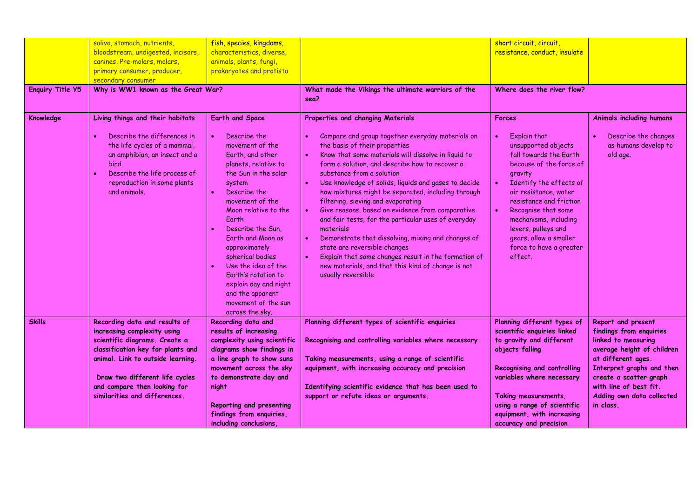| <b>Enquiry Title Y5</b> | saliva, stomach, nutrients,<br>bloodstream, undigested, incisors,<br>canines, Pre-molars, molars,<br>primary consumer, producer,<br>secondary consumer<br>Why is WW1 known as the Great War? | fish, species, kingdoms,<br>characteristics, diverse,<br>animals, plants, fungi,<br>prokaryotes and protista                                                                                                                                                                                                                                                                          | What made the Vikings the ultimate warriors of the<br>sea?                                                                                                                                                                                                                                                                                                                                                                                                                                                                                                                                                                                                                | short circuit, circuit,<br>resistance, conduct, insulate<br>Where does the river flow?                                                                                                                                                                                                                    |                                                                           |
|-------------------------|----------------------------------------------------------------------------------------------------------------------------------------------------------------------------------------------|---------------------------------------------------------------------------------------------------------------------------------------------------------------------------------------------------------------------------------------------------------------------------------------------------------------------------------------------------------------------------------------|---------------------------------------------------------------------------------------------------------------------------------------------------------------------------------------------------------------------------------------------------------------------------------------------------------------------------------------------------------------------------------------------------------------------------------------------------------------------------------------------------------------------------------------------------------------------------------------------------------------------------------------------------------------------------|-----------------------------------------------------------------------------------------------------------------------------------------------------------------------------------------------------------------------------------------------------------------------------------------------------------|---------------------------------------------------------------------------|
| Knowledge               | Living things and their habitats<br>Describe the differences in                                                                                                                              | Earth and Space<br>Describe the                                                                                                                                                                                                                                                                                                                                                       | Properties and changing Materials<br>Compare and group together everyday materials on                                                                                                                                                                                                                                                                                                                                                                                                                                                                                                                                                                                     | <b>Forces</b><br><b>Explain that</b><br>$\bullet$                                                                                                                                                                                                                                                         | <b>Animals including humans</b><br>Describe the changes<br>$\bullet$      |
|                         | the life cycles of a mammal,<br>an amphibian, an insect and a<br><b>bird</b><br>Describe the life process of<br>$\bullet$<br>reproduction in some plants<br>and animals.                     | movement of the<br>Earth, and other<br>planets, relative to<br>the Sun in the solar<br>system<br>Describe the<br>movement of the<br>Moon relative to the<br>Earth<br>Describe the Sun.<br>Earth and Moon as<br>approximately<br>spherical bodies<br>Use the idea of the<br>Earth's rotation to<br>explain day and night<br>and the apparent<br>movement of the sun<br>across the sky. | the basis of their properties<br>Know that some materials will dissolve in liquid to<br>form a solution, and describe how to recover a<br>substance from a solution<br>Use knowledge of solids, liquids and gases to decide<br>how mixtures might be separated, including through<br>filtering, sieving and evaporating<br>Give reasons, based on evidence from comparative<br>and fair tests, for the particular uses of everyday<br>materials<br>Demonstrate that dissolving, mixing and changes of<br>state are reversible changes<br>Explain that some changes result in the formation of<br>new materials, and that this kind of change is not<br>usually reversible | unsupported objects<br>fall towards the Earth<br>because of the force of<br>gravity<br>Identify the effects of<br>air resistance, water<br>resistance and friction<br>Recognise that some<br>mechanisms, including<br>levers, pulleys and<br>gears, allow a smaller<br>force to have a greater<br>effect. | as humans develop to<br>old age.                                          |
| <b>Skills</b>           | Recording data and results of<br>increasing complexity using                                                                                                                                 | Recording data and<br>results of increasing                                                                                                                                                                                                                                                                                                                                           | Planning different types of scientific enquiries                                                                                                                                                                                                                                                                                                                                                                                                                                                                                                                                                                                                                          | Planning different types of<br>scientific enquiries linked                                                                                                                                                                                                                                                | Report and present<br>findings from enquiries                             |
|                         | scientific diagrams. Create a<br>classification key for plants and                                                                                                                           | complexity using scientific<br>diagrams show findings in                                                                                                                                                                                                                                                                                                                              | Recognising and controlling variables where necessary                                                                                                                                                                                                                                                                                                                                                                                                                                                                                                                                                                                                                     | to gravity and different<br>objects falling                                                                                                                                                                                                                                                               | linked to measuring<br>average height of children                         |
|                         | animal. Link to outside learning.<br>Draw two different life cycles                                                                                                                          | a line graph to show suns<br>movement across the sky<br>to demonstrate day and                                                                                                                                                                                                                                                                                                        | Taking measurements, using a range of scientific<br>equipment, with increasing accuracy and precision                                                                                                                                                                                                                                                                                                                                                                                                                                                                                                                                                                     | <b>Recognising and controlling</b><br>variables where necessary                                                                                                                                                                                                                                           | at different ages.<br>Interpret graphs and then<br>create a scatter graph |
|                         | and compare then looking for<br>similarities and differences.                                                                                                                                | night<br>Reporting and presenting<br>findings from enquiries,<br>including conclusions                                                                                                                                                                                                                                                                                                | Identifying scientific evidence that has been used to<br>support or refute ideas or arguments.                                                                                                                                                                                                                                                                                                                                                                                                                                                                                                                                                                            | Taking measurements,<br>using a range of scientific<br>equipment, with increasing<br>accuracy and precision                                                                                                                                                                                               | with line of best fit.<br>Adding own data collected<br>in class.          |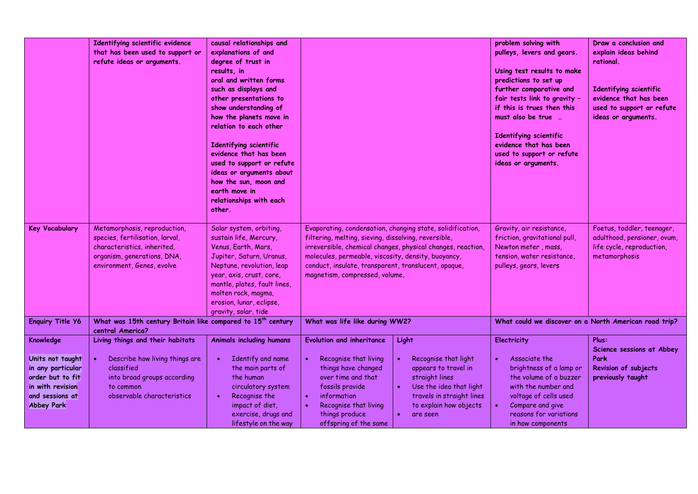|                                                                                                                       | Identifying scientific evidence<br>that has been used to support or<br>refute ideas or arguments.                                                           | causal relationships and<br>explanations of and<br>degree of trust in<br>results, in<br>oral and written forms<br>such as displays and<br>other presentations to<br>show understanding of<br>how the planets move in<br>relation to each other<br>Identifying scientific<br>evidence that has been<br>used to support or refute<br>ideas or arguments about<br>how the sun, moon and<br>earth move in<br>relationships with each<br>other. |                                                                                                                                                                                                                                                                                                                                    |                                                                                                                                                                                        | problem solving with<br>pulleys, levers and gears.<br>Using test results to make<br>predictions to set up<br>further comparative and<br>fair tests link to gravity -<br>if this is trues then this<br>must also be true<br>Identifying scientific<br>evidence that has been<br>used to support or refute<br>ideas or arguments. | Draw a conclusion and<br>explain ideas behind<br>rational.<br>Identifying scientific<br>evidence that has been<br>used to support or refute<br>ideas or arguments. |
|-----------------------------------------------------------------------------------------------------------------------|-------------------------------------------------------------------------------------------------------------------------------------------------------------|--------------------------------------------------------------------------------------------------------------------------------------------------------------------------------------------------------------------------------------------------------------------------------------------------------------------------------------------------------------------------------------------------------------------------------------------|------------------------------------------------------------------------------------------------------------------------------------------------------------------------------------------------------------------------------------------------------------------------------------------------------------------------------------|----------------------------------------------------------------------------------------------------------------------------------------------------------------------------------------|---------------------------------------------------------------------------------------------------------------------------------------------------------------------------------------------------------------------------------------------------------------------------------------------------------------------------------|--------------------------------------------------------------------------------------------------------------------------------------------------------------------|
| <b>Key Vocabulary</b>                                                                                                 | Metamorphosis, reproduction,<br>species, fertilisation, larval,<br>characteristics, inherited,<br>organism, generations, DNA,<br>environment, Genes, evolve | Solar system, orbiting,<br>sustain life, Mercury,<br>Venus, Earth, Mars,<br>Jupiter, Saturn, Uranus,<br>Neptune, revolution, leap<br>year, axis, crust, core,<br>mantle, plates, fault lines,<br>molten rock, magma,<br>erosion, lunar, eclipse,<br>gravity, solar, tide                                                                                                                                                                   | Evaporating, condensation, changing state, solidification,<br>filtering, melting, sieving, dissolving, reversible,<br>irreversible, chemical changes, physical changes, reaction,<br>molecules, permeable, viscosity, density, buoyancy,<br>conduct, insulate, transparent, translucent, opaque,<br>magnetism, compressed, volume, |                                                                                                                                                                                        | Gravity, air resistance,<br>friction, gravitational pull,<br>Newton meter, mass,<br>tension, water resistance,<br>pulleys, gears, levers                                                                                                                                                                                        | Foetus, toddler, teenager,<br>adulthood, pensioner, ovum,<br>life cycle, reproduction,<br>metamorphosis                                                            |
| <b>Enquiry Title Y6</b>                                                                                               | What was 15th century Britain like compared to 15 <sup>th</sup> century<br>central America?                                                                 |                                                                                                                                                                                                                                                                                                                                                                                                                                            | What was life like during WW2?                                                                                                                                                                                                                                                                                                     |                                                                                                                                                                                        | What could we discover on a North American road trip?                                                                                                                                                                                                                                                                           |                                                                                                                                                                    |
| Knowledge                                                                                                             | Living things and their habitats                                                                                                                            | <b>Animals including humans</b>                                                                                                                                                                                                                                                                                                                                                                                                            | <b>Evolution and inheritance</b>                                                                                                                                                                                                                                                                                                   | Light                                                                                                                                                                                  | <b>Electricity</b>                                                                                                                                                                                                                                                                                                              | Plus:<br>Science sessions at Abbey                                                                                                                                 |
| Units not taught<br>in any particular<br>order but to fit<br>in with revision<br>and sessions at<br><b>Abbey Park</b> | Describe how living things are<br>$\bullet$<br>classified<br>into broad groups according<br>to common<br>observable characteristics                         | Identify and name<br>the main parts of<br>the human<br>circulatory system<br>Recognise the<br>$\bullet$<br>impact of diet,<br>exercise, drugs and<br>lifestyle on the way                                                                                                                                                                                                                                                                  | Recognise that living<br>things have changed<br>over time and that<br>fossils provide<br>information<br>$\bullet$<br>Recognise that living<br>$\bullet$<br>things produce<br>offspring of the same                                                                                                                                 | Recognise that light<br>$\bullet$<br>appears to travel in<br>straight lines<br>Use the idea that light<br>$\bullet$<br>travels in straight lines<br>to explain how objects<br>are seen | Associate the<br>brightness of a lamp or<br>the volume of a buzzer<br>with the number and<br>voltage of cells used<br>Compare and give<br>reasons for variations<br>in how components                                                                                                                                           | Park<br>Revision of subjects<br>previously taught                                                                                                                  |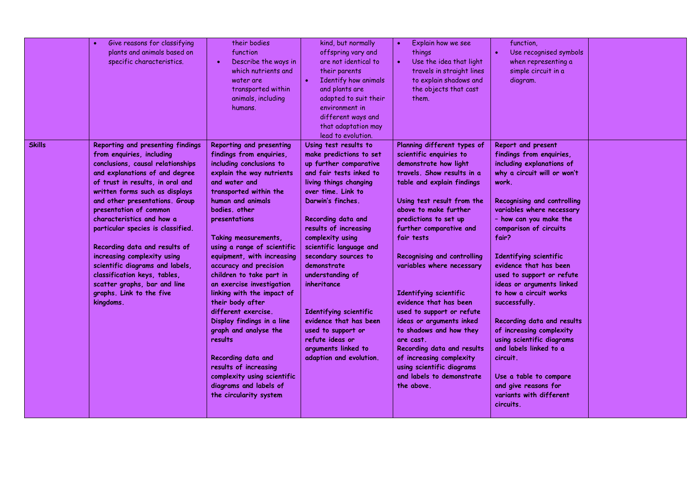| Give reasons for classifying<br>plants and animals based on<br>specific characteristics.                                                                                                                                                                                                                                                                                                                                                                                                                                                                               | their bodies<br>function<br>Describe the ways in<br>which nutrients and<br>water are<br>transported within<br>animals, including<br>humans.                                                                                                                                                                                                                                                                                                                                                                                                                                                                                                                          | kind, but normally<br>offspring vary and<br>are not identical to<br>their parents<br>Identify how animals<br>and plants are<br>adapted to suit their<br>environment in<br>different ways and<br>that adaptation may<br>lead to evolution.                                                                                                                                                                                                                                                         | Explain how we see<br>$\bullet$<br>things<br>Use the idea that light<br>$\bullet$<br>travels in straight lines<br>to explain shadows and<br>the objects that cast<br>them.                                                                                                                                                                                                                                                                                                                                                                                                                                              | function,<br>Use recognised symbols<br>when representing a<br>simple circuit in a<br>diagram.                                                                                                                                                                                                                                                                                                                                                                                                                                                                                                                                       |  |
|------------------------------------------------------------------------------------------------------------------------------------------------------------------------------------------------------------------------------------------------------------------------------------------------------------------------------------------------------------------------------------------------------------------------------------------------------------------------------------------------------------------------------------------------------------------------|----------------------------------------------------------------------------------------------------------------------------------------------------------------------------------------------------------------------------------------------------------------------------------------------------------------------------------------------------------------------------------------------------------------------------------------------------------------------------------------------------------------------------------------------------------------------------------------------------------------------------------------------------------------------|---------------------------------------------------------------------------------------------------------------------------------------------------------------------------------------------------------------------------------------------------------------------------------------------------------------------------------------------------------------------------------------------------------------------------------------------------------------------------------------------------|-------------------------------------------------------------------------------------------------------------------------------------------------------------------------------------------------------------------------------------------------------------------------------------------------------------------------------------------------------------------------------------------------------------------------------------------------------------------------------------------------------------------------------------------------------------------------------------------------------------------------|-------------------------------------------------------------------------------------------------------------------------------------------------------------------------------------------------------------------------------------------------------------------------------------------------------------------------------------------------------------------------------------------------------------------------------------------------------------------------------------------------------------------------------------------------------------------------------------------------------------------------------------|--|
| Reporting and presenting findings<br><b>Skills</b><br>from enquiries, including<br>conclusions, causal relationships<br>and explanations of and degree<br>of trust in results, in oral and<br>written forms such as displays<br>and other presentations. Group<br>presentation of common<br>characteristics and how a<br>particular species is classified.<br>Recording data and results of<br>increasing complexity using<br>scientific diagrams and labels,<br>classification keys, tables,<br>scatter graphs, bar and line<br>graphs. Link to the five<br>kingdoms. | Reporting and presenting<br>findings from enquiries,<br>including conclusions to<br>explain the way nutrients<br>and water and<br>transported within the<br>human and animals<br>bodies, other<br>presentations<br>Taking measurements,<br>using a range of scientific<br>equipment, with increasing<br>accuracy and precision<br>children to take part in<br>an exercise investigation<br>linking with the impact of<br>their body after<br>different exercise.<br>Display findings in a line<br>graph and analyse the<br>results<br>Recording data and<br>results of increasing<br>complexity using scientific<br>diagrams and labels of<br>the circularity system | Using test results to<br>make predictions to set<br>up further comparative<br>and fair tests inked to<br>living things changing<br>over time. Link to<br>Darwin's finches.<br>Recording data and<br>results of increasing<br>complexity using<br>scientific language and<br>secondary sources to<br>demonstrate<br>understanding of<br>inheritance<br>Identifying scientific<br>evidence that has been<br>used to support or<br>refute ideas or<br>arguments linked to<br>adaption and evolution. | Planning different types of<br>scientific enquiries to<br>demonstrate how light<br>travels. Show results in a<br>table and explain findings<br>Using test result from the<br>above to make further<br>predictions to set up<br>further comparative and<br>fair tests<br>Recognising and controlling<br>variables where necessary<br>Identifying scientific<br>evidence that has been<br>used to support or refute<br>ideas or arguments inked<br>to shadows and how they<br>are cast.<br>Recording data and results<br>of increasing complexity<br>using scientific diagrams<br>and labels to demonstrate<br>the above. | Report and present<br>findings from enquiries,<br>including explanations of<br>why a circuit will or won't<br>work.<br><b>Recognising and controlling</b><br>variables where necessary<br>- how can you make the<br>comparison of circuits<br>fair?<br>Identifying scientific<br>evidence that has been<br>used to support or refute<br>ideas or arguments linked<br>to how a circuit works<br>successfully.<br>Recording data and results<br>of increasing complexity<br>using scientific diagrams<br>and labels linked to a<br>circuit.<br>Use a table to compare<br>and give reasons for<br>variants with different<br>circuits. |  |